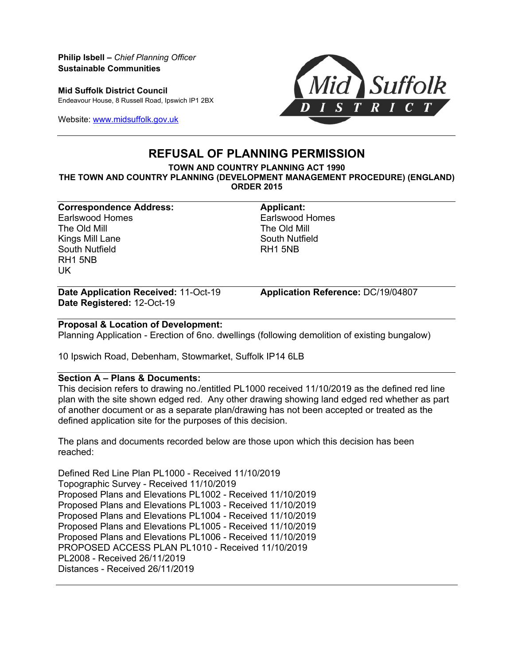**Philip Isbell –** *Chief Planning Officer* **Sustainable Communities**

**Mid Suffolk District Council** Endeavour House, 8 Russell Road, Ipswich IP1 2BX

Website: [www.midsuffolk.gov.uk](http://www.midsuffolk.gov.uk/)



# **REFUSAL OF PLANNING PERMISSION**

**TOWN AND COUNTRY PLANNING ACT 1990 THE TOWN AND COUNTRY PLANNING (DEVELOPMENT MANAGEMENT PROCEDURE) (ENGLAND) ORDER 2015**

**Correspondence Address: Applicant:** Earlswood Homes The Old Mill Kings Mill Lane South Nutfield RH1 5NB UK

Earlswood Homes The Old Mill South Nutfield RH1 5NB

**Date Application Received:** 11-Oct-19 **Application Reference:** DC/19/04807 **Date Registered:** 12-Oct-19

### **Proposal & Location of Development:**

Planning Application - Erection of 6no. dwellings (following demolition of existing bungalow)

10 Ipswich Road, Debenham, Stowmarket, Suffolk IP14 6LB

### **Section A – Plans & Documents:**

This decision refers to drawing no./entitled PL1000 received 11/10/2019 as the defined red line plan with the site shown edged red. Any other drawing showing land edged red whether as part of another document or as a separate plan/drawing has not been accepted or treated as the defined application site for the purposes of this decision.

The plans and documents recorded below are those upon which this decision has been reached:

Defined Red Line Plan PL1000 - Received 11/10/2019 Topographic Survey - Received 11/10/2019 Proposed Plans and Elevations PL1002 - Received 11/10/2019 Proposed Plans and Elevations PL1003 - Received 11/10/2019 Proposed Plans and Elevations PL1004 - Received 11/10/2019 Proposed Plans and Elevations PL1005 - Received 11/10/2019 Proposed Plans and Elevations PL1006 - Received 11/10/2019 PROPOSED ACCESS PLAN PL1010 - Received 11/10/2019 PL2008 - Received 26/11/2019 Distances - Received 26/11/2019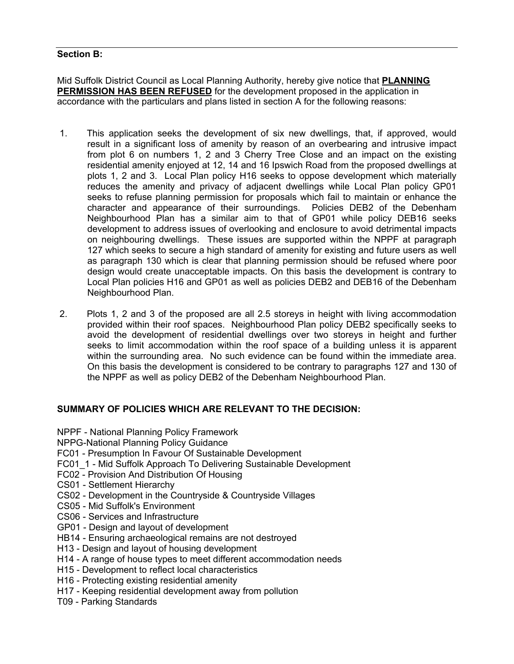## **Section B:**

Mid Suffolk District Council as Local Planning Authority, hereby give notice that **PLANNING PERMISSION HAS BEEN REFUSED** for the development proposed in the application in accordance with the particulars and plans listed in section A for the following reasons:

- 1. This application seeks the development of six new dwellings, that, if approved, would result in a significant loss of amenity by reason of an overbearing and intrusive impact from plot 6 on numbers 1, 2 and 3 Cherry Tree Close and an impact on the existing residential amenity enjoyed at 12, 14 and 16 Ipswich Road from the proposed dwellings at plots 1, 2 and 3. Local Plan policy H16 seeks to oppose development which materially reduces the amenity and privacy of adjacent dwellings while Local Plan policy GP01 seeks to refuse planning permission for proposals which fail to maintain or enhance the character and appearance of their surroundings. Policies DEB2 of the Debenham Neighbourhood Plan has a similar aim to that of GP01 while policy DEB16 seeks development to address issues of overlooking and enclosure to avoid detrimental impacts on neighbouring dwellings. These issues are supported within the NPPF at paragraph 127 which seeks to secure a high standard of amenity for existing and future users as well as paragraph 130 which is clear that planning permission should be refused where poor design would create unacceptable impacts. On this basis the development is contrary to Local Plan policies H16 and GP01 as well as policies DEB2 and DEB16 of the Debenham Neighbourhood Plan.
- 2. Plots 1, 2 and 3 of the proposed are all 2.5 storeys in height with living accommodation provided within their roof spaces. Neighbourhood Plan policy DEB2 specifically seeks to avoid the development of residential dwellings over two storeys in height and further seeks to limit accommodation within the roof space of a building unless it is apparent within the surrounding area. No such evidence can be found within the immediate area. On this basis the development is considered to be contrary to paragraphs 127 and 130 of the NPPF as well as policy DEB2 of the Debenham Neighbourhood Plan.

### **SUMMARY OF POLICIES WHICH ARE RELEVANT TO THE DECISION:**

- NPPF National Planning Policy Framework
- NPPG-National Planning Policy Guidance
- FC01 Presumption In Favour Of Sustainable Development
- FC01\_1 Mid Suffolk Approach To Delivering Sustainable Development
- FC02 Provision And Distribution Of Housing
- CS01 Settlement Hierarchy
- CS02 Development in the Countryside & Countryside Villages
- CS05 Mid Suffolk's Environment
- CS06 Services and Infrastructure
- GP01 Design and layout of development
- HB14 Ensuring archaeological remains are not destroyed
- H13 Design and layout of housing development
- H14 A range of house types to meet different accommodation needs
- H15 Development to reflect local characteristics
- H16 Protecting existing residential amenity
- H17 Keeping residential development away from pollution
- T09 Parking Standards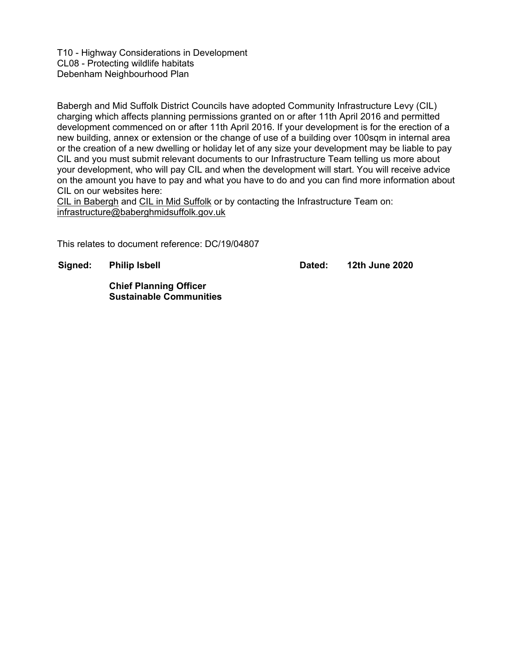T10 - Highway Considerations in Development CL08 - Protecting wildlife habitats Debenham Neighbourhood Plan

Babergh and Mid Suffolk District Councils have adopted Community Infrastructure Levy (CIL) charging which affects planning permissions granted on or after 11th April 2016 and permitted development commenced on or after 11th April 2016. If your development is for the erection of a new building, annex or extension or the change of use of a building over 100sqm in internal area or the creation of a new dwelling or holiday let of any size your development may be liable to pay CIL and you must submit relevant documents to our Infrastructure Team telling us more about your development, who will pay CIL and when the development will start. You will receive advice on the amount you have to pay and what you have to do and you can find more information about CIL on our websites here:

CIL in Babergh and CIL in Mid Suffolk or by contacting the Infrastructure Team on: infrastructure@baberghmidsuffolk.gov.uk

This relates to document reference: DC/19/04807

**Signed: Philip Isbell**

**Dated: 12th June 2020**

**Chief Planning Officer Sustainable Communities**